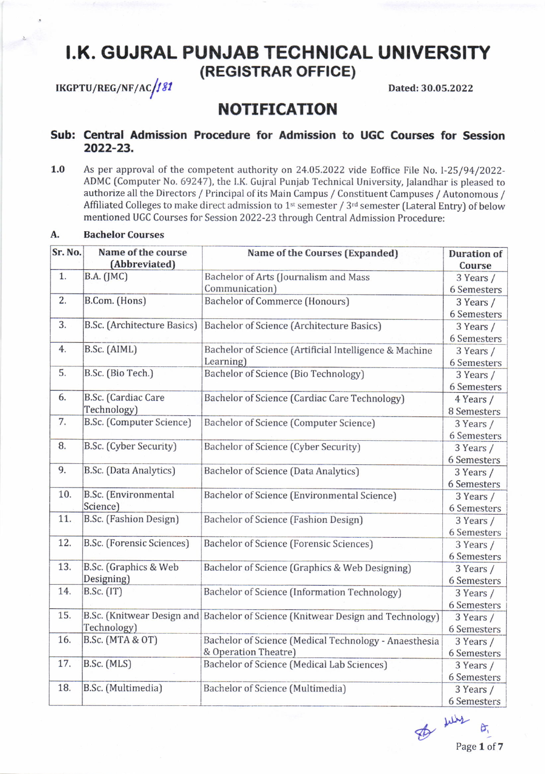# I.K. GUJRAL PUNJAB TECHNICAL UNIVERSITY (REGISTRAR OFFICE)

 $\mu$ Kgptu/Reg/NF/Ac $\mu$ 81

Dated: 30.05.2022

## NOTIFICATION

### Sub: Central Admission Procedure for Admission to UGC Courses for Session 2022-23.

1.0 As per approval of the competent authority on 24.05.2022 vide Eoffice File No. l-25/94/2022- ADMC (Computer No. 69247), the I.K. Gujral Punjab Technical University, Jalandhar is pleased to authorize all the Directors / Principal of its Main Campus / Constituent Campuses / Autonomous / Affiliated Colleges to make direct admission to 1<sup>st</sup> semester / 3<sup>rd</sup> semester (Lateral Entry) of below mentioned UGC Courses for Session 2022-23 throueh Central Admission Procedure:

#### A, Bachelor Courses

| Sr. No.          | Name of the course<br>(Abbreviated)       | Name of the Courses (Expanded)                                                | <b>Duration of</b><br>Course |
|------------------|-------------------------------------------|-------------------------------------------------------------------------------|------------------------------|
| 1.               | B.A. (JMC)                                | Bachelor of Arts (Journalism and Mass<br>Communication)                       | 3 Years /                    |
|                  |                                           |                                                                               | 6 Semesters                  |
| $\overline{2}$ . | B.Com. (Hons)                             | <b>Bachelor of Commerce (Honours)</b>                                         | 3 Years /                    |
|                  |                                           |                                                                               | 6 Semesters                  |
| 3.               | <b>B.Sc.</b> (Architecture Basics)        | <b>Bachelor of Science (Architecture Basics)</b>                              | 3 Years /                    |
|                  |                                           |                                                                               | 6 Semesters                  |
| 4.               | B.Sc. (AIML)                              | Bachelor of Science (Artificial Intelligence & Machine<br>Learning)           | 3 Years /                    |
|                  |                                           |                                                                               | 6 Semesters                  |
| 5.               | B.Sc. (Bio Tech.)                         | Bachelor of Science (Bio Technology)                                          | 3 Years /                    |
|                  |                                           |                                                                               | 6 Semesters                  |
| 6.               | B.Sc. (Cardiac Care<br>Technology)        | Bachelor of Science (Cardiac Care Technology)                                 | 4 Years /                    |
|                  |                                           |                                                                               | 8 Semesters                  |
| 7.               | B.Sc. (Computer Science)                  | Bachelor of Science (Computer Science)                                        | 3 Years /                    |
|                  |                                           |                                                                               | 6 Semesters                  |
| 8.               | B.Sc. (Cyber Security)                    | Bachelor of Science (Cyber Security)                                          | 3 Years /                    |
|                  |                                           |                                                                               | 6 Semesters                  |
| 9.               | B.Sc. (Data Analytics)                    | Bachelor of Science (Data Analytics)                                          | 3 Years /                    |
|                  |                                           |                                                                               | 6 Semesters                  |
| 10.              | <b>B.Sc.</b> (Environmental<br>Science)   | Bachelor of Science (Environmental Science)                                   | 3 Years /                    |
|                  |                                           |                                                                               | 6 Semesters                  |
| 11.              | B.Sc. (Fashion Design)                    | Bachelor of Science (Fashion Design)                                          | 3 Years /                    |
|                  |                                           |                                                                               | 6 Semesters                  |
| 12.              | B.Sc. (Forensic Sciences)                 | <b>Bachelor of Science (Forensic Sciences)</b>                                | 3 Years /                    |
|                  |                                           |                                                                               | 6 Semesters                  |
| 13.              | B.Sc. (Graphics & Web<br>Designing)       | Bachelor of Science (Graphics & Web Designing)                                | 3 Years /                    |
|                  |                                           |                                                                               | 6 Semesters                  |
| 14.              | <b>B.Sc.</b> (IT)                         | Bachelor of Science (Information Technology)                                  | 3 Years /                    |
|                  |                                           |                                                                               | 6 Semesters                  |
| 15.              | B.Sc. (Knitwear Design and<br>Technology) | Bachelor of Science (Knitwear Design and Technology)                          | 3 Years /                    |
|                  |                                           |                                                                               | 6 Semesters                  |
| 16.              | B.Sc. (MTA & OT)                          | Bachelor of Science (Medical Technology - Anaesthesia<br>& Operation Theatre) | 3 Years /                    |
|                  |                                           |                                                                               | 6 Semesters                  |
| 17.              | B.Sc. (MLS)                               | Bachelor of Science (Medical Lab Sciences)                                    | 3 Years /                    |
|                  |                                           |                                                                               | 6 Semesters                  |
| 18.              | B.Sc. (Multimedia)                        | Bachelor of Science (Multimedia)                                              | 3 Years /                    |
|                  |                                           |                                                                               | 6 Semesters                  |

 $\n *p*$ <br>Page 1 of 7 ð,